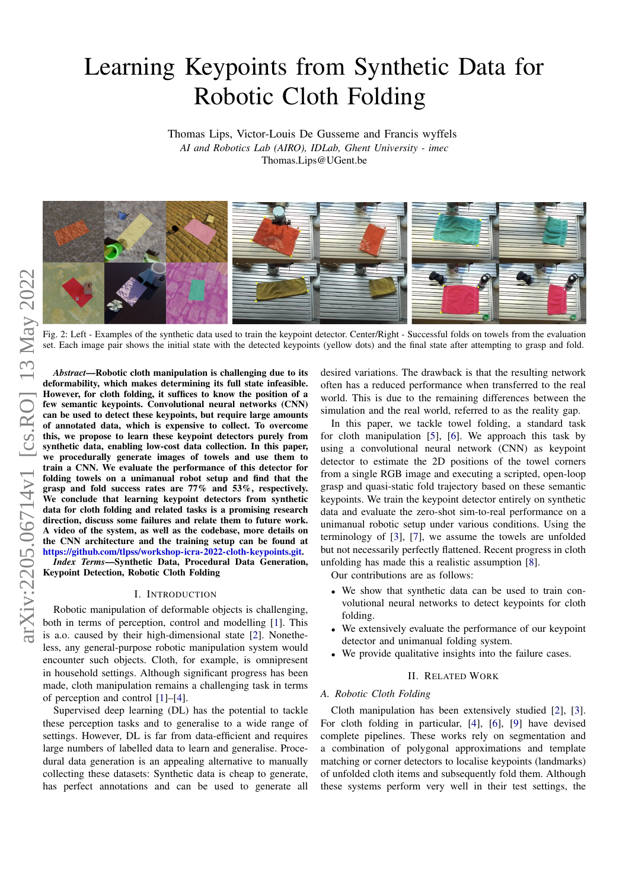# Learning Keypoints from Synthetic Data for Robotic Cloth Folding

Thomas Lips, Victor-Louis De Gusseme and Francis wyffels *AI and Robotics Lab (AIRO), IDLab, Ghent University - imec* Thomas.Lips@UGent.be

<span id="page-0-0"></span>

Fig. 2: Left - Examples of the synthetic data used to train the keypoint detector. Center/Right - Successful folds on towels from the evaluation set. Each image pair shows the initial state with the detected keypoints (yellow dots) and the final state after attempting to grasp and fold.

*Abstract*—Robotic cloth manipulation is challenging due to its deformability, which makes determining its full state infeasible. However, for cloth folding, it suffices to know the position of a few semantic keypoints. Convolutional neural networks (CNN) can be used to detect these keypoints, but require large amounts of annotated data, which is expensive to collect. To overcome this, we propose to learn these keypoint detectors purely from synthetic data, enabling low-cost data collection. In this paper, we procedurally generate images of towels and use them to train a CNN. We evaluate the performance of this detector for folding towels on a unimanual robot setup and find that the grasp and fold success rates are 77% and 53%, respectively. We conclude that learning keypoint detectors from synthetic data for cloth folding and related tasks is a promising research direction, discuss some failures and relate them to future work. A video of the system, as well as the codebase, more details on the CNN architecture and the training setup can be found at [https://github.com/tlpss/workshop-icra-2022-cloth-keypoints.git.](https://github.com/tlpss/workshop-icra-2022-cloth-keypoints.git)

*Index Terms*—Synthetic Data, Procedural Data Generation, Keypoint Detection, Robotic Cloth Folding

#### I. INTRODUCTION

Robotic manipulation of deformable objects is challenging, both in terms of perception, control and modelling [\[1\]](#page-3-0). This is a.o. caused by their high-dimensional state [\[2\]](#page-3-1). Nonetheless, any general-purpose robotic manipulation system would encounter such objects. Cloth, for example, is omnipresent in household settings. Although significant progress has been made, cloth manipulation remains a challenging task in terms of perception and control [\[1\]](#page-3-0)–[\[4\]](#page-3-2).

Supervised deep learning (DL) has the potential to tackle these perception tasks and to generalise to a wide range of settings. However, DL is far from data-efficient and requires large numbers of labelled data to learn and generalise. Procedural data generation is an appealing alternative to manually collecting these datasets: Synthetic data is cheap to generate, has perfect annotations and can be used to generate all

desired variations. The drawback is that the resulting network often has a reduced performance when transferred to the real world. This is due to the remaining differences between the simulation and the real world, referred to as the reality gap.

In this paper, we tackle towel folding, a standard task for cloth manipulation [\[5\]](#page-3-3), [\[6\]](#page-3-4). We approach this task by using a convolutional neural network (CNN) as keypoint detector to estimate the 2D positions of the towel corners from a single RGB image and executing a scripted, open-loop grasp and quasi-static fold trajectory based on these semantic keypoints. We train the keypoint detector entirely on synthetic data and evaluate the zero-shot sim-to-real performance on a unimanual robotic setup under various conditions. Using the terminology of [\[3\]](#page-3-5), [\[7\]](#page-3-6), we assume the towels are unfolded but not necessarily perfectly flattened. Recent progress in cloth unfolding has made this a realistic assumption [\[8\]](#page-3-7).

Our contributions are as follows:

- We show that synthetic data can be used to train convolutional neural networks to detect keypoints for cloth folding.
- We extensively evaluate the performance of our keypoint detector and unimanual folding system.
- We provide qualitative insights into the failure cases.

## II. RELATED WORK

## *A. Robotic Cloth Folding*

Cloth manipulation has been extensively studied [\[2\]](#page-3-1), [\[3\]](#page-3-5). For cloth folding in particular, [\[4\]](#page-3-2), [\[6\]](#page-3-4), [\[9\]](#page-3-8) have devised complete pipelines. These works rely on segmentation and a combination of polygonal approximations and template matching or corner detectors to localise keypoints (landmarks) of unfolded cloth items and subsequently fold them. Although these systems perform very well in their test settings, the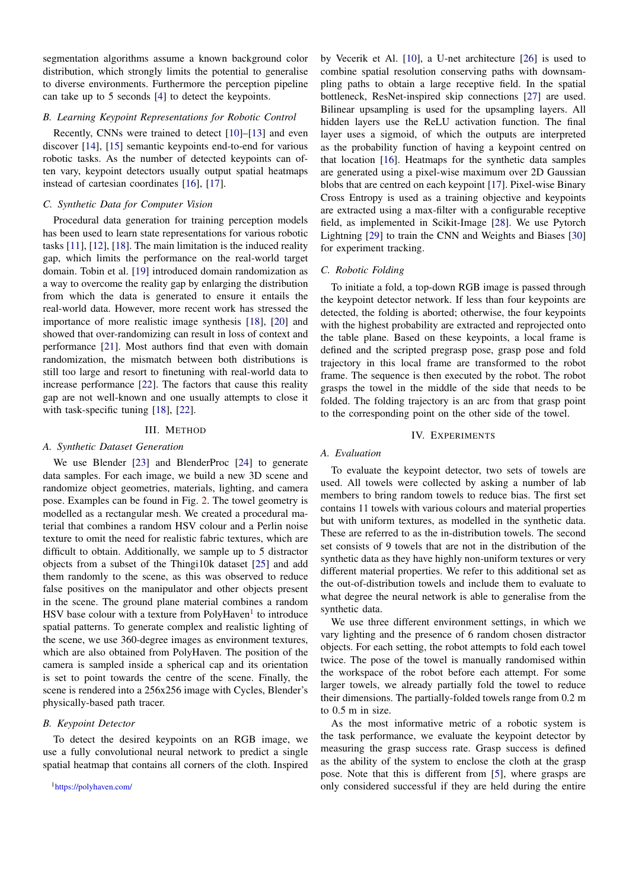segmentation algorithms assume a known background color distribution, which strongly limits the potential to generalise to diverse environments. Furthermore the perception pipeline can take up to 5 seconds [\[4\]](#page-3-2) to detect the keypoints.

#### *B. Learning Keypoint Representations for Robotic Control*

Recently, CNNs were trained to detect [\[10\]](#page-3-9)–[\[13\]](#page-3-10) and even discover [\[14\]](#page-3-11), [\[15\]](#page-3-12) semantic keypoints end-to-end for various robotic tasks. As the number of detected keypoints can often vary, keypoint detectors usually output spatial heatmaps instead of cartesian coordinates [\[16\]](#page-3-13), [\[17\]](#page-3-14).

## *C. Synthetic Data for Computer Vision*

Procedural data generation for training perception models has been used to learn state representations for various robotic tasks [\[11\]](#page-3-15), [\[12\]](#page-3-16), [\[18\]](#page-3-17). The main limitation is the induced reality gap, which limits the performance on the real-world target domain. Tobin et al. [\[19\]](#page-3-18) introduced domain randomization as a way to overcome the reality gap by enlarging the distribution from which the data is generated to ensure it entails the real-world data. However, more recent work has stressed the importance of more realistic image synthesis [\[18\]](#page-3-17), [\[20\]](#page-3-19) and showed that over-randomizing can result in loss of context and performance [\[21\]](#page-3-20). Most authors find that even with domain randomization, the mismatch between both distributions is still too large and resort to finetuning with real-world data to increase performance [\[22\]](#page-3-21). The factors that cause this reality gap are not well-known and one usually attempts to close it with task-specific tuning [\[18\]](#page-3-17), [\[22\]](#page-3-21).

#### III. METHOD

#### <span id="page-1-1"></span>*A. Synthetic Dataset Generation*

We use Blender [\[23\]](#page-3-22) and BlenderProc [\[24\]](#page-3-23) to generate data samples. For each image, we build a new 3D scene and randomize object geometries, materials, lighting, and camera pose. Examples can be found in Fig. [2.](#page-0-0) The towel geometry is modelled as a rectangular mesh. We created a procedural material that combines a random HSV colour and a Perlin noise texture to omit the need for realistic fabric textures, which are difficult to obtain. Additionally, we sample up to 5 distractor objects from a subset of the Thingi10k dataset [\[25\]](#page-3-24) and add them randomly to the scene, as this was observed to reduce false positives on the manipulator and other objects present in the scene. The ground plane material combines a random HSV base colour with a texture from PolyHaven<sup>[1](#page-1-0)</sup> to introduce spatial patterns. To generate complex and realistic lighting of the scene, we use 360-degree images as environment textures, which are also obtained from PolyHaven. The position of the camera is sampled inside a spherical cap and its orientation is set to point towards the centre of the scene. Finally, the scene is rendered into a 256x256 image with Cycles, Blender's physically-based path tracer.

## *B. Keypoint Detector*

To detect the desired keypoints on an RGB image, we use a fully convolutional neural network to predict a single spatial heatmap that contains all corners of the cloth. Inspired

by Vecerik et Al. [\[10\]](#page-3-9), a U-net architecture [\[26\]](#page-3-25) is used to combine spatial resolution conserving paths with downsampling paths to obtain a large receptive field. In the spatial bottleneck, ResNet-inspired skip connections [\[27\]](#page-3-26) are used. Bilinear upsampling is used for the upsampling layers. All hidden layers use the ReLU activation function. The final layer uses a sigmoid, of which the outputs are interpreted as the probability function of having a keypoint centred on that location [\[16\]](#page-3-13). Heatmaps for the synthetic data samples are generated using a pixel-wise maximum over 2D Gaussian blobs that are centred on each keypoint [\[17\]](#page-3-14). Pixel-wise Binary Cross Entropy is used as a training objective and keypoints are extracted using a max-filter with a configurable receptive field, as implemented in Scikit-Image [\[28\]](#page-3-27). We use Pytorch Lightning [\[29\]](#page-3-28) to train the CNN and Weights and Biases [\[30\]](#page-3-29) for experiment tracking.

## *C. Robotic Folding*

To initiate a fold, a top-down RGB image is passed through the keypoint detector network. If less than four keypoints are detected, the folding is aborted; otherwise, the four keypoints with the highest probability are extracted and reprojected onto the table plane. Based on these keypoints, a local frame is defined and the scripted pregrasp pose, grasp pose and fold trajectory in this local frame are transformed to the robot frame. The sequence is then executed by the robot. The robot grasps the towel in the middle of the side that needs to be folded. The folding trajectory is an arc from that grasp point to the corresponding point on the other side of the towel.

#### IV. EXPERIMENTS

### *A. Evaluation*

To evaluate the keypoint detector, two sets of towels are used. All towels were collected by asking a number of lab members to bring random towels to reduce bias. The first set contains 11 towels with various colours and material properties but with uniform textures, as modelled in the synthetic data. These are referred to as the in-distribution towels. The second set consists of 9 towels that are not in the distribution of the synthetic data as they have highly non-uniform textures or very different material properties. We refer to this additional set as the out-of-distribution towels and include them to evaluate to what degree the neural network is able to generalise from the synthetic data.

We use three different environment settings, in which we vary lighting and the presence of 6 random chosen distractor objects. For each setting, the robot attempts to fold each towel twice. The pose of the towel is manually randomised within the workspace of the robot before each attempt. For some larger towels, we already partially fold the towel to reduce their dimensions. The partially-folded towels range from 0.2 m to 0.5 m in size.

As the most informative metric of a robotic system is the task performance, we evaluate the keypoint detector by measuring the grasp success rate. Grasp success is defined as the ability of the system to enclose the cloth at the grasp pose. Note that this is different from [\[5\]](#page-3-3), where grasps are only considered successful if they are held during the entire

<span id="page-1-0"></span><sup>1</sup><https://polyhaven.com/>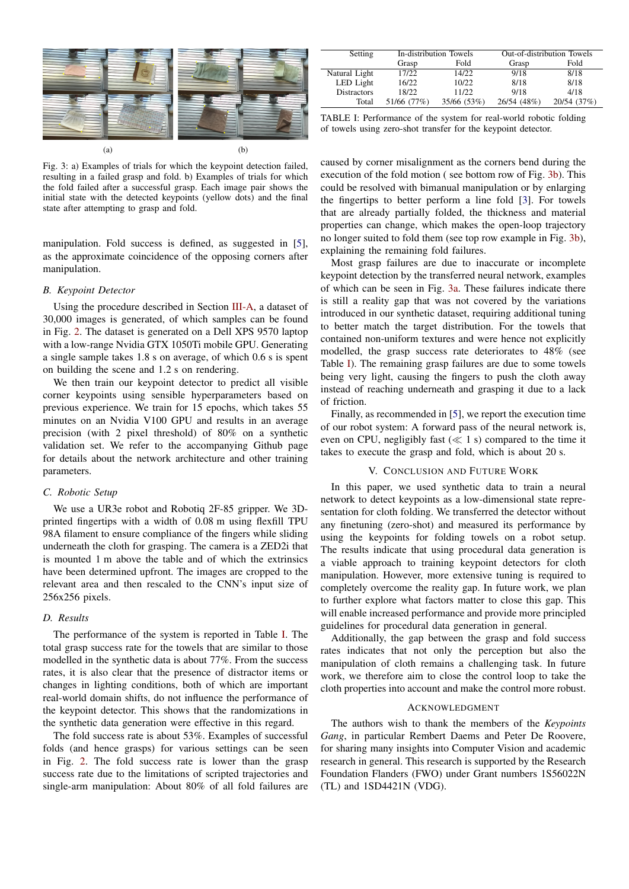<span id="page-2-1"></span>

Fig. 3: a) Examples of trials for which the keypoint detection failed, resulting in a failed grasp and fold. b) Examples of trials for which the fold failed after a successful grasp. Each image pair shows the initial state with the detected keypoints (yellow dots) and the final state after attempting to grasp and fold.

manipulation. Fold success is defined, as suggested in [\[5\]](#page-3-3), as the approximate coincidence of the opposing corners after manipulation.

#### *B. Keypoint Detector*

Using the procedure described in Section [III-A,](#page-1-1) a dataset of 30,000 images is generated, of which samples can be found in Fig. [2.](#page-0-0) The dataset is generated on a Dell XPS 9570 laptop with a low-range Nvidia GTX 1050Ti mobile GPU. Generating a single sample takes 1.8 s on average, of which 0.6 s is spent on building the scene and 1.2 s on rendering.

We then train our keypoint detector to predict all visible corner keypoints using sensible hyperparameters based on previous experience. We train for 15 epochs, which takes 55 minutes on an Nvidia V100 GPU and results in an average precision (with 2 pixel threshold) of 80% on a synthetic validation set. We refer to the accompanying Github page for details about the network architecture and other training parameters.

## *C. Robotic Setup*

We use a UR3e robot and Robotiq 2F-85 gripper. We 3Dprinted fingertips with a width of 0.08 m using flexfill TPU 98A filament to ensure compliance of the fingers while sliding underneath the cloth for grasping. The camera is a ZED2i that is mounted 1 m above the table and of which the extrinsics have been determined upfront. The images are cropped to the relevant area and then rescaled to the CNN's input size of 256x256 pixels.

#### *D. Results*

The performance of the system is reported in Table [I.](#page-2-0) The total grasp success rate for the towels that are similar to those modelled in the synthetic data is about 77%. From the success rates, it is also clear that the presence of distractor items or changes in lighting conditions, both of which are important real-world domain shifts, do not influence the performance of the keypoint detector. This shows that the randomizations in the synthetic data generation were effective in this regard.

The fold success rate is about 53%. Examples of successful folds (and hence grasps) for various settings can be seen in Fig. [2.](#page-0-0) The fold success rate is lower than the grasp success rate due to the limitations of scripted trajectories and single-arm manipulation: About 80% of all fold failures are

<span id="page-2-0"></span>

| Setting            | In-distribution Towels |             | Out-of-distribution Towels |             |
|--------------------|------------------------|-------------|----------------------------|-------------|
|                    | Grasp                  | Fold        | Grasp                      | Fold        |
| Natural Light      | 17/22                  | 14/22       | 9/18                       | 8/18        |
| LED Light          | 16/22                  | 10/22       | 8/18                       | 8/18        |
| <b>Distractors</b> | 18/22                  | 11/22       | 9/18                       | 4/18        |
| Total              | 51/66 (77%)            | 35/66 (53%) | 26/54 (48%)                | 20/54 (37%) |

TABLE I: Performance of the system for real-world robotic folding of towels using zero-shot transfer for the keypoint detector.

caused by corner misalignment as the corners bend during the execution of the fold motion ( see bottom row of Fig. [3b\)](#page-2-1). This could be resolved with bimanual manipulation or by enlarging the fingertips to better perform a line fold [\[3\]](#page-3-5). For towels that are already partially folded, the thickness and material properties can change, which makes the open-loop trajectory no longer suited to fold them (see top row example in Fig. [3b\)](#page-2-1), explaining the remaining fold failures.

Most grasp failures are due to inaccurate or incomplete keypoint detection by the transferred neural network, examples of which can be seen in Fig. [3a.](#page-2-1) These failures indicate there is still a reality gap that was not covered by the variations introduced in our synthetic dataset, requiring additional tuning to better match the target distribution. For the towels that contained non-uniform textures and were hence not explicitly modelled, the grasp success rate deteriorates to 48% (see Table [I\)](#page-2-0). The remaining grasp failures are due to some towels being very light, causing the fingers to push the cloth away instead of reaching underneath and grasping it due to a lack of friction.

Finally, as recommended in [\[5\]](#page-3-3), we report the execution time of our robot system: A forward pass of the neural network is, even on CPU, negligibly fast  $(\ll 1 \text{ s})$  compared to the time it takes to execute the grasp and fold, which is about 20 s.

#### V. CONCLUSION AND FUTURE WORK

In this paper, we used synthetic data to train a neural network to detect keypoints as a low-dimensional state representation for cloth folding. We transferred the detector without any finetuning (zero-shot) and measured its performance by using the keypoints for folding towels on a robot setup. The results indicate that using procedural data generation is a viable approach to training keypoint detectors for cloth manipulation. However, more extensive tuning is required to completely overcome the reality gap. In future work, we plan to further explore what factors matter to close this gap. This will enable increased performance and provide more principled guidelines for procedural data generation in general.

Additionally, the gap between the grasp and fold success rates indicates that not only the perception but also the manipulation of cloth remains a challenging task. In future work, we therefore aim to close the control loop to take the cloth properties into account and make the control more robust.

#### ACKNOWLEDGMENT

The authors wish to thank the members of the *Keypoints Gang*, in particular Rembert Daems and Peter De Roovere, for sharing many insights into Computer Vision and academic research in general. This research is supported by the Research Foundation Flanders (FWO) under Grant numbers 1S56022N (TL) and 1SD4421N (VDG).